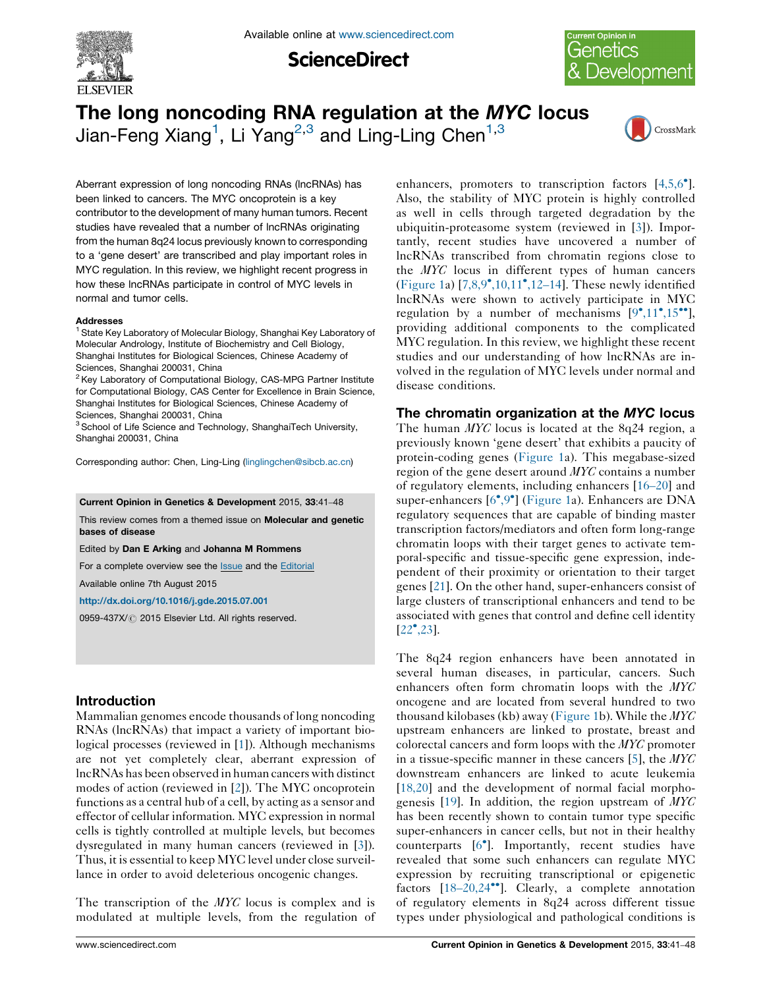

**ScienceDirect** 



# The long noncoding RNA regulation at the MYC locus Jian-Feng Xiang<sup>1</sup>, Li Yang<sup>2,3</sup> and Ling-Ling Chen<sup>1,3</sup>



Aberrant expression of long noncoding RNAs (lncRNAs) has been linked to cancers. The MYC oncoprotein is a key contributor to the development of many human tumors. Recent studies have revealed that a number of lncRNAs originating from the human 8q24 locus previously known to corresponding to a 'gene desert' are transcribed and play important roles in MYC regulation. In this review, we highlight recent progress in how these lncRNAs participate in control of MYC levels in normal and tumor cells.

#### **Addresses**

<sup>1</sup> State Key Laboratory of Molecular Biology, Shanghai Key Laboratory of Molecular Andrology, Institute of Biochemistry and Cell Biology, Shanghai Institutes for Biological Sciences, Chinese Academy of Sciences, Shanghai 200031, China

 $2$  Key Laboratory of Computational Biology, CAS-MPG Partner Institute for Computational Biology, CAS Center for Excellence in Brain Science, Shanghai Institutes for Biological Sciences, Chinese Academy of Sciences, Shanghai 200031, China

<sup>3</sup> School of Life Science and Technology, ShanghaiTech University, Shanghai 200031, China

Corresponding author: Chen, Ling-Ling [\(linglingchen@sibcb.ac.cn\)](mailto:linglingchen@sibcb.ac.cn)

Current Opinion in Genetics & Development 2015, 33:41–48

This review comes from a themed issue on **Molecular and genetic** bases of disease

Edited by Dan E Arking and Johanna M Rommens

For a complete overview see the [Issue](http://www.sciencedirect.com/science/journal/0959437X/33) and the [Editorial](http://dx.doi.org/10.1016/j.gde.2015.10.001)

Available online 7th August 2015

<http://dx.doi.org/10.1016/j.gde.2015.07.001>

0959-437X/ 2015 Elsevier Ltd. All rights reserved.

## Introduction

Mammalian genomes encode thousands of long noncoding RNAs (lncRNAs) that impact a variety of important biological processes (reviewed in [\[1](#page-6-0)]). Although mechanisms are not yet completely clear, aberrant expression of lncRNAs has been observed in human cancers with distinct modes of action (reviewed in [[2](#page-6-0)]). The MYC oncoprotein functions as a central hub of a cell, by acting as a sensor and effector of cellular information. MYC expression in normal cells is tightly controlled at multiple levels, but becomes dysregulated in many human cancers (reviewed in [\[3](#page-6-0)]). Thus, it is essential to keep MYC level under close surveillance in order to avoid deleterious oncogenic changes.

The transcription of the MYC locus is complex and is modulated at multiple levels, from the regulation of enhancers, promoters to transcription factors [[4,5,6](#page-6-0)°]. Also, the stability of MYC protein is highly controlled as well in cells through targeted degradation by the ubiquitin-proteasome system (reviewed in [[3\]](#page-6-0)). Importantly, recent studies have uncovered a number of lncRNAs transcribed from chromatin regions close to the MYC locus in different types of human cancers ([Figure](#page-1-0) 1a) [\[7,8,9](#page-6-0)°[,10,11](#page-6-0)°[,12](#page-6-0)-14]. These newly identified lncRNAs were shown to actively participate in MYC regulation by a number of mechanisms  $[9^{\bullet},11^{\bullet},15^{\bullet\bullet}],$  $[9^{\bullet},11^{\bullet},15^{\bullet\bullet}],$  $[9^{\bullet},11^{\bullet},15^{\bullet\bullet}],$  $[9^{\bullet},11^{\bullet},15^{\bullet\bullet}],$  $[9^{\bullet},11^{\bullet},15^{\bullet\bullet}],$  $[9^{\bullet},11^{\bullet},15^{\bullet\bullet}],$  $[9^{\bullet},11^{\bullet},15^{\bullet\bullet}],$ providing additional components to the complicated MYC regulation. In this review, we highlight these recent studies and our understanding of how lncRNAs are involved in the regulation of MYC levels under normal and disease conditions.

#### The chromatin organization at the MYC locus

The human MYC locus is located at the 8q24 region, a previously known 'gene desert' that exhibits a paucity of protein-coding genes [\(Figure](#page-1-0) 1a). This megabase-sized region of the gene desert around MYC contains a number of regulatory elements, including enhancers [16–[20\]](#page-6-0) and super-enhancers [\[6](#page-6-0)°[,9](#page-6-0)°] ([Figure](#page-1-0) 1a). Enhancers are DNA regulatory sequences that are capable of binding master transcription factors/mediators and often form long-range chromatin loops with their target genes to activate temporal-specific and tissue-specific gene expression, independent of their proximity or orientation to their target genes [\[21](#page-6-0)]. On the other hand, super-enhancers consist of large clusters of transcriptional enhancers and tend to be associated with genes that control and define cell identity  $[22^{\bullet}, 23]$  $[22^{\bullet}, 23]$  $[22^{\bullet}, 23]$ .

The 8q24 region enhancers have been annotated in several human diseases, in particular, cancers. Such enhancers often form chromatin loops with the MYC oncogene and are located from several hundred to two thousand kilobases (kb) away ([Figure](#page-1-0) 1b). While the  $MYC$ upstream enhancers are linked to prostate, breast and colorectal cancers and form loops with the MYC promoter in a tissue-specific manner in these cancers [[5\]](#page-6-0), the MYC downstream enhancers are linked to acute leukemia [[18,20\]](#page-6-0) and the development of normal facial morpho-genesis [[19\]](#page-6-0). In addition, the region upstream of  $MTC$ has been recently shown to contain tumor type specific super-enhancers in cancer cells, but not in their healthy counterparts [\[6](#page-6-0)<sup>°</sup>]. Importantly, recent studies have revealed that some such enhancers can regulate MYC expression by recruiting transcriptional or epigenetic factors [18-[20,24](#page-6-0)<sup>\*</sup>]. Clearly, a complete annotation of regulatory elements in 8q24 across different tissue types under physiological and pathological conditions is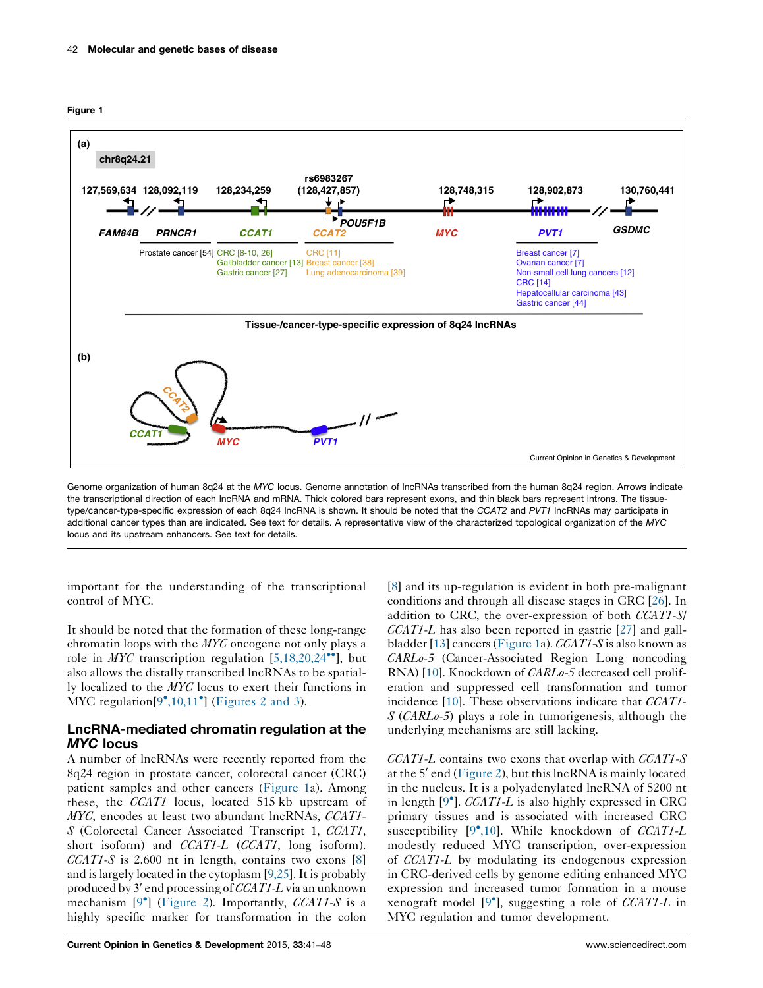<span id="page-1-0"></span>



Genome organization of human 8q24 at the MYC locus. Genome annotation of lncRNAs transcribed from the human 8q24 region. Arrows indicate the transcriptional direction of each lncRNA and mRNA. Thick colored bars represent exons, and thin black bars represent introns. The tissuetype/cancer-type-specific expression of each 8q24 lncRNA is shown. It should be noted that the CCAT2 and PVT1 lncRNAs may participate in additional cancer types than are indicated. See text for details. A representative view of the characterized topological organization of the MYC locus and its upstream enhancers. See text for details.

important for the understanding of the transcriptional control of MYC.

It should be noted that the formation of these long-range chromatin loops with the MYC oncogene not only plays a role in *MYC* transcription regulation [[5,18,20,24](#page-6-0)<sup>\*\*</sup>], but also allows the distally transcribed lncRNAs to be spatially localized to the MYC locus to exert their functions in MYC regulation $[9^{\bullet}, 10, 11^{\bullet}]$  $[9^{\bullet}, 10, 11^{\bullet}]$  $[9^{\bullet}, 10, 11^{\bullet}]$  [\(Figures](#page-2-0) 2 and 3).

## LncRNA-mediated chromatin regulation at the MYC locus

A number of lncRNAs were recently reported from the 8q24 region in prostate cancer, colorectal cancer (CRC) patient samples and other cancers (Figure 1a). Among these, the CCAT1 locus, located 515 kb upstream of MYC, encodes at least two abundant lncRNAs, CCAT1-S (Colorectal Cancer Associated Transcript 1, CCAT1, short isoform) and *CCAT1-L* (*CCAT1*, long isoform).  $CCAT1-S$  is 2,600 nt in length, contains two exons [[8\]](#page-6-0) and is largely located in the cytoplasm  $[9,25]$  $[9,25]$ . It is probably produced by  $3'$  end processing of CCAT1-L via an unknown mechanism  $[9^{\circ}]$  $[9^{\circ}]$  $[9^{\circ}]$  ([Figure](#page-2-0) 2). Importantly, *CCAT1-S* is a highly specific marker for transformation in the colon

[\[8](#page-6-0)] and its up-regulation is evident in both pre-malignant conditions and through all disease stages in CRC [[26](#page-6-0)]. In addition to CRC, the over-expression of both CCAT1-S/  $CCAT1-L$  has also been reported in gastric [[27\]](#page-7-0) and gallbladder [\[13\]](#page-6-0) cancers (Figure 1a). CCAT1-S is also known as CARLo-5 (Cancer-Associated Region Long noncoding RNA) [\[10](#page-6-0)]. Knockdown of CARLo-5 decreased cell proliferation and suppressed cell transformation and tumor incidence [\[10](#page-6-0)]. These observations indicate that *CCAT1*-S (CARLo-5) plays a role in tumorigenesis, although the underlying mechanisms are still lacking.

 $CCAT1-L$  contains two exons that overlap with  $CCAT1-S$ at the  $5'$  end [\(Figure](#page-2-0) 2), but this lncRNA is mainly located in the nucleus. It is a polyadenylated lncRNA of 5200 nt in length  $[9^{\bullet}]$  $[9^{\bullet}]$  $[9^{\bullet}]$ . CCAT1-L is also highly expressed in CRC primary tissues and is associated with increased CRC susceptibility [\[9](#page-6-0)\*[,10](#page-6-0)]. While knockdown of CCAT1-L modestly reduced MYC transcription, over-expression of CCAT1-L by modulating its endogenous expression in CRC-derived cells by genome editing enhanced MYC expression and increased tumor formation in a mouse xenograft model  $[9^{\bullet}]$  $[9^{\bullet}]$  $[9^{\bullet}]$ , suggesting a role of *CCAT1-L* in MYC regulation and tumor development.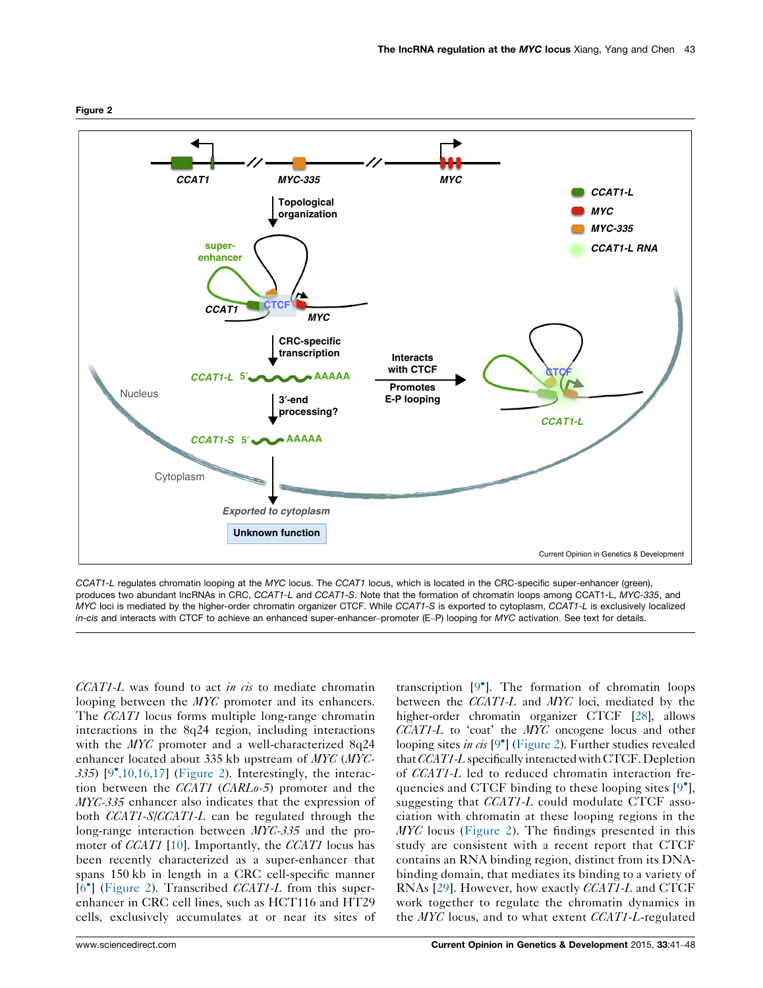

CCAT1-L regulates chromatin looping at the MYC locus. The CCAT1 locus, which is located in the CRC-specific super-enhancer (green), produces two abundant lncRNAs in CRC, CCAT1-L and CCAT1-S. Note that the formation of chromatin loops among CCAT1-L, MYC-335, and MYC loci is mediated by the higher-order chromatin organizer CTCF. While CCAT1-S is exported to cytoplasm, CCAT1-L is exclusively localized in-cis and interacts with CTCF to achieve an enhanced super-enhancer-promoter (E–P) looping for MYC activation. See text for details.

 $CCAT1-L$  was found to act in cis to mediate chromatin looping between the *MYC* promoter and its enhancers. The *CCAT1* locus forms multiple long-range chromatin interactions in the 8q24 region, including interactions with the MYC promoter and a well-characterized 8q24 enhancer located about 335 kb upstream of MYC (MYC-335) [[9](#page-6-0)<sup>\*</sup>[,10,16,17\]](#page-6-0) (Figure 2). Interestingly, the interaction between the CCAT1 (CARLo-5) promoter and the MYC-335 enhancer also indicates that the expression of both *CCAT1-S/CCAT1-L* can be regulated through the long-range interaction between MYC-335 and the promoter of *CCAT1* [[10](#page-6-0)]. Importantly, the *CCAT1* locus has been recently characterized as a super-enhancer that spans 150 kb in length in a CRC cell-specific manner [\[6](#page-6-0)<sup>°</sup>] (Figure 2). Transcribed CCAT1-L from this superenhancer in CRC cell lines, such as HCT116 and HT29 cells, exclusively accumulates at or near its sites of

transcription [[9](#page-6-0)<sup>°</sup>]. The formation of chromatin loops between the CCAT1-L and MYC loci, mediated by the higher-order chromatin organizer CTCF [\[28\]](#page-7-0), allows  $CCAT1-L$  to 'coat' the  $MYC$  oncogene locus and other looping sites in cis [\[9](#page-6-0)<sup>°</sup>] (Figure 2). Further studies revealed that CCAT1-L specifically interacted with CTCF. Depletion of CCAT1-L led to reduced chromatin interaction fre-quencies and CTCF binding to these looping sites [[9](#page-6-0) $^{\circ}$ ], suggesting that *CCAT1-L* could modulate CTCF association with chromatin at these looping regions in the  $MYC$  locus (Figure 2). The findings presented in this study are consistent with a recent report that CTCF contains an RNA binding region, distinct from its DNAbinding domain, that mediates its binding to a variety of RNAs [[29\]](#page-7-0). However, how exactly CCAT1-L and CTCF work together to regulate the chromatin dynamics in the  $MYC$  locus, and to what extent  $CCAT1-L$ -regulated

<span id="page-2-0"></span>Figure 2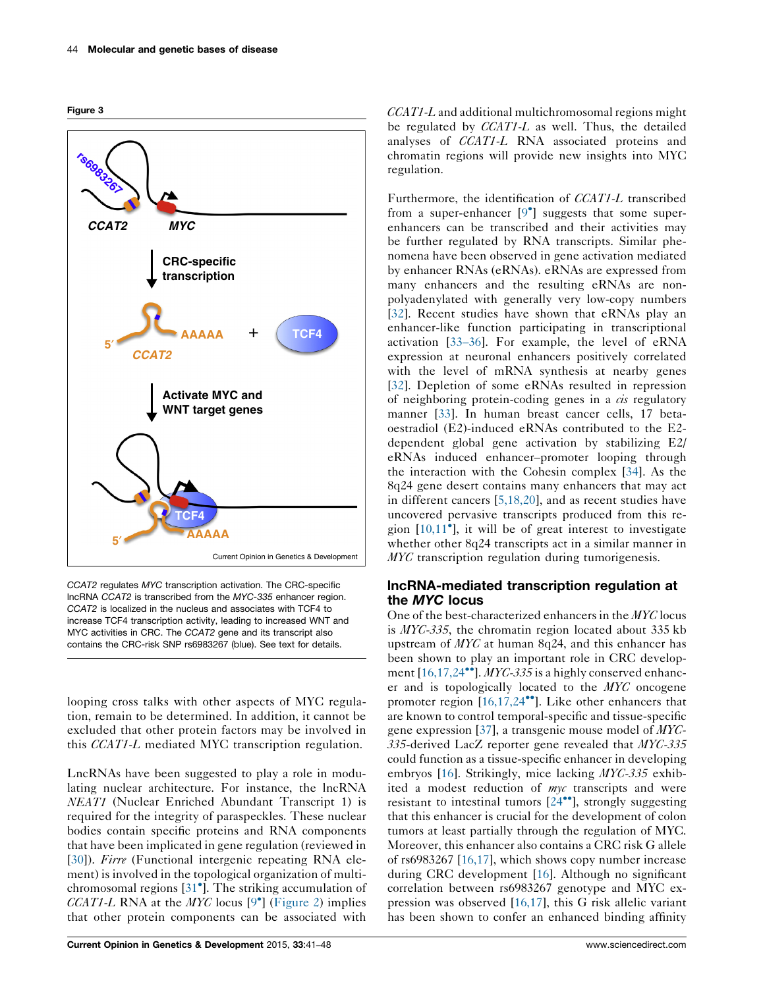<span id="page-3-0"></span>Figure 3



CCAT2 regulates MYC transcription activation. The CRC-specific lncRNA CCAT2 is transcribed from the MYC-335 enhancer region. CCAT2 is localized in the nucleus and associates with TCF4 to increase TCF4 transcription activity, leading to increased WNT and MYC activities in CRC. The CCAT2 gene and its transcript also contains the CRC-risk SNP rs6983267 (blue). See text for details.

looping cross talks with other aspects of MYC regulation, remain to be determined. In addition, it cannot be excluded that other protein factors may be involved in this CCAT1-L mediated MYC transcription regulation.

LncRNAs have been suggested to play a role in modulating nuclear architecture. For instance, the lncRNA NEAT1 (Nuclear Enriched Abundant Transcript 1) is required for the integrity of paraspeckles. These nuclear bodies contain specific proteins and RNA components that have been implicated in gene regulation (reviewed in [\[30](#page-7-0)]). Firre (Functional intergenic repeating RNA element) is involved in the topological organization of multi-chromosomal regions [[31](#page-7-0)<sup>°</sup>]. The striking accumulation of CCAT1-L RNA at the  $MYC$  locus [\[9](#page-6-0)<sup>°</sup>] ([Figure](#page-2-0) 2) implies that other protein components can be associated with CCAT1-L and additional multichromosomal regions might be regulated by CCAT1-L as well. Thus, the detailed analyses of CCAT1-L RNA associated proteins and chromatin regions will provide new insights into MYC regulation.

Furthermore, the identification of CCAT1-L transcribed from a super-enhancer  $[9^{\bullet}]$  $[9^{\bullet}]$  $[9^{\bullet}]$  suggests that some superenhancers can be transcribed and their activities may be further regulated by RNA transcripts. Similar phenomena have been observed in gene activation mediated by enhancer RNAs (eRNAs). eRNAs are expressed from many enhancers and the resulting eRNAs are nonpolyadenylated with generally very low-copy numbers [\[32](#page-7-0)]. Recent studies have shown that eRNAs play an enhancer-like function participating in transcriptional activation [33–[36](#page-7-0)]. For example, the level of eRNA expression at neuronal enhancers positively correlated with the level of mRNA synthesis at nearby genes [\[32](#page-7-0)]. Depletion of some eRNAs resulted in repression of neighboring protein-coding genes in a  $\dot{cis}$  regulatory manner [\[33](#page-7-0)]. In human breast cancer cells, 17 betaoestradiol (E2)-induced eRNAs contributed to the E2 dependent global gene activation by stabilizing E2/ eRNAs induced enhancer–promoter looping through the interaction with the Cohesin complex [[34\]](#page-7-0). As the 8q24 gene desert contains many enhancers that may act in different cancers [\[5,18,20](#page-6-0)], and as recent studies have uncovered pervasive transcripts produced from this region  $[10,11^{\bullet}]$  $[10,11^{\bullet}]$ , it will be of great interest to investigate whether other 8q24 transcripts act in a similar manner in *MYC* transcription regulation during tumorigenesis.

## lncRNA-mediated transcription regulation at the MYC locus

One of the best-characterized enhancers in the MYC locus is MYC-335, the chromatin region located about 335 kb upstream of MYC at human 8q24, and this enhancer has been shown to play an important role in CRC develop-ment [[16,17,24](#page-6-0)<sup>\*</sup>]. MYC-335 is a highly conserved enhancer and is topologically located to the MYC oncogene promoter region [[16,17,24](#page-6-0)<sup>\*</sup>]. Like other enhancers that are known to control temporal-specific and tissue-specific gene expression [\[37](#page-7-0)], a transgenic mouse model of MYC-335-derived LacZ reporter gene revealed that MYC-335 could function as a tissue-specific enhancer in developing embryos [\[16](#page-6-0)]. Strikingly, mice lacking MYC-335 exhibited a modest reduction of myc transcripts and were resistant to intestinal tumors  $[24^{\bullet\bullet}]$  $[24^{\bullet\bullet}]$  $[24^{\bullet\bullet}]$ , strongly suggesting that this enhancer is crucial for the development of colon tumors at least partially through the regulation of MYC. Moreover, this enhancer also contains a CRC risk G allele of rs6983267 [[16,17\]](#page-6-0), which shows copy number increase during CRC development [\[16](#page-6-0)]. Although no significant correlation between rs6983267 genotype and MYC expression was observed [\[16,17\]](#page-6-0), this G risk allelic variant has been shown to confer an enhanced binding affinity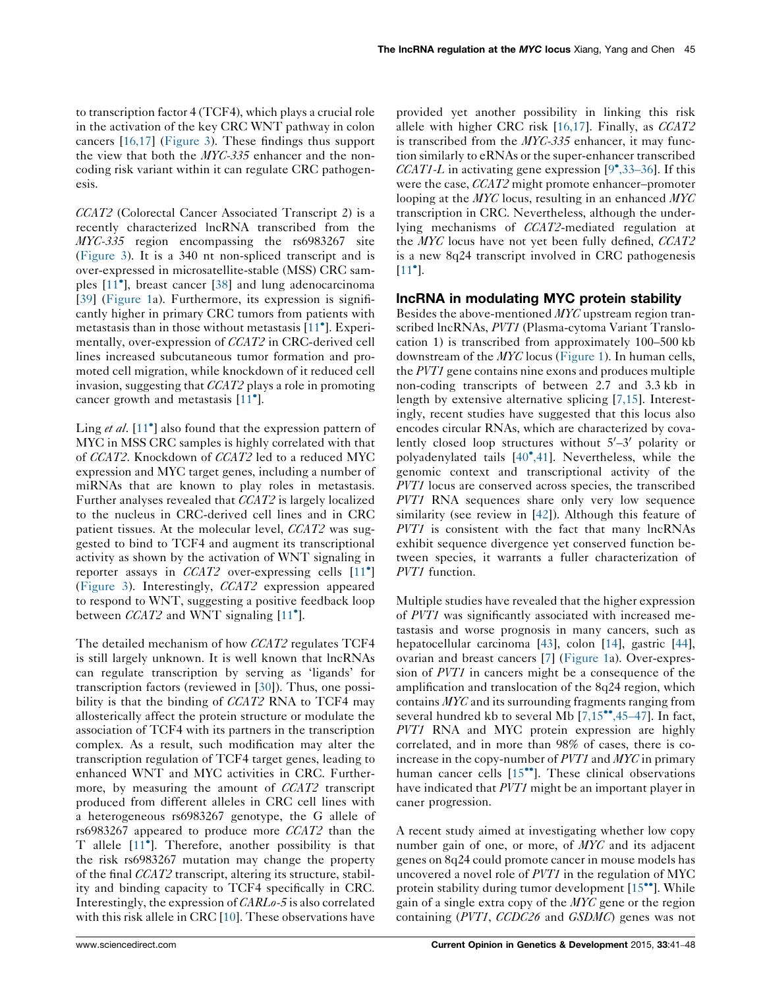to transcription factor 4 (TCF4), which plays a crucial role in the activation of the key CRC WNT pathway in colon cancers [\[16,17\]](#page-6-0) [\(Figure](#page-3-0) 3). These findings thus support the view that both the MYC-335 enhancer and the noncoding risk variant within it can regulate CRC pathogenesis.

CCAT2 (Colorectal Cancer Associated Transcript 2) is a recently characterized lncRNA transcribed from the MYC-335 region encompassing the rs6983267 site [\(Figure](#page-3-0) 3). It is a 340 nt non-spliced transcript and is over-expressed in microsatellite-stable (MSS) CRC sam-ples [\[11](#page-6-0)<sup>°</sup>], breast cancer [\[38](#page-7-0)] and lung adenocarcinoma [\[39](#page-7-0)] [\(Figure](#page-1-0) 1a). Furthermore, its expression is significantly higher in primary CRC tumors from patients with metastasis than in those without metastasis [\[11](#page-6-0)<sup>°</sup>]. Experimentally, over-expression of CCAT2 in CRC-derived cell lines increased subcutaneous tumor formation and promoted cell migration, while knockdown of it reduced cell invasion, suggesting that CCAT2 plays a role in promoting cancer growth and metastasis [[11](#page-6-0)°].

Ling et al. [[11](#page-6-0)<sup>°</sup>] also found that the expression pattern of MYC in MSS CRC samples is highly correlated with that of CCAT2. Knockdown of CCAT2 led to a reduced MYC expression and MYC target genes, including a number of miRNAs that are known to play roles in metastasis. Further analyses revealed that CCAT2 is largely localized to the nucleus in CRC-derived cell lines and in CRC patient tissues. At the molecular level, *CCAT2* was suggested to bind to TCF4 and augment its transcriptional activity as shown by the activation of WNT signaling in reporter assays in  $CCAT2$  over-expressing cells  $[11^{\circ}]$  $[11^{\circ}]$ [\(Figure](#page-3-0) 3). Interestingly, CCAT2 expression appeared to respond to WNT, suggesting a positive feedback loop between  $CCAT2$  and WNT signaling [[11](#page-6-0)°].

The detailed mechanism of how CCAT2 regulates TCF4 is still largely unknown. It is well known that lncRNAs can regulate transcription by serving as 'ligands' for transcription factors (reviewed in [[30\]](#page-7-0)). Thus, one possibility is that the binding of CCAT2 RNA to TCF4 may allosterically affect the protein structure or modulate the association of TCF4 with its partners in the transcription complex. As a result, such modification may alter the transcription regulation of TCF4 target genes, leading to enhanced WNT and MYC activities in CRC. Furthermore, by measuring the amount of CCAT2 transcript produced from different alleles in CRC cell lines with a heterogeneous rs6983267 genotype, the G allele of rs6983267 appeared to produce more CCAT2 than the T allele  $[11^{\circ}]$  $[11^{\circ}]$ . Therefore, another possibility is that the risk rs6983267 mutation may change the property of the final CCAT2 transcript, altering its structure, stability and binding capacity to TCF4 specifically in CRC. Interestingly, the expression of CARLo-5 is also correlated with this risk allele in CRC [\[10](#page-6-0)]. These observations have

provided yet another possibility in linking this risk allele with higher CRC risk [[16,17](#page-6-0)]. Finally, as CCAT2 is transcribed from the MYC-335 enhancer, it may function similarly to eRNAs or the super-enhancer transcribed CCAT1-L in activating gene expression  $[9^{\bullet}, 33-36]$  $[9^{\bullet}, 33-36]$ . If this were the case, *CCAT2* might promote enhancer–promoter looping at the MYC locus, resulting in an enhanced MYC transcription in CRC. Nevertheless, although the underlying mechanisms of CCAT2-mediated regulation at the MYC locus have not yet been fully defined, CCAT2 is a new 8q24 transcript involved in CRC pathogenesis  $[11^{\bullet}].$  $[11^{\bullet}].$  $[11^{\bullet}].$ 

## lncRNA in modulating MYC protein stability

Besides the above-mentioned MYC upstream region transcribed lncRNAs, PVT1 (Plasma-cytoma Variant Translocation 1) is transcribed from approximately 100–500 kb downstream of the MYC locus ([Figure](#page-1-0) 1). In human cells, the PVT1 gene contains nine exons and produces multiple non-coding transcripts of between 2.7 and 3.3 kb in length by extensive alternative splicing [\[7,15\]](#page-6-0). Interestingly, recent studies have suggested that this locus also encodes circular RNAs, which are characterized by covalently closed loop structures without  $5'-3'$  polarity or polyadenylated tails [[40](#page-7-0)°[,41\]](#page-7-0). Nevertheless, while the genomic context and transcriptional activity of the PVT1 locus are conserved across species, the transcribed PVT1 RNA sequences share only very low sequence similarity (see review in [[42\]](#page-7-0)). Although this feature of PVT1 is consistent with the fact that many lncRNAs exhibit sequence divergence yet conserved function between species, it warrants a fuller characterization of PVT1 function.

Multiple studies have revealed that the higher expression of PVT1 was significantly associated with increased metastasis and worse prognosis in many cancers, such as hepatocellular carcinoma [\[43](#page-7-0)], colon [\[14](#page-6-0)], gastric [[44\]](#page-7-0), ovarian and breast cancers [[7\]](#page-6-0) ([Figure](#page-1-0) 1a). Over-expression of PVT1 in cancers might be a consequence of the amplification and translocation of the 8q24 region, which contains MYC and its surrounding fragments ranging from several hundred kb to several Mb  $[7,15$ <sup>\*\*</sup>[,45](#page-6-0)-47]. In fact, PVT1 RNA and MYC protein expression are highly correlated, and in more than 98% of cases, there is coincrease in the copy-number of PVT1 and MYC in primary human cancer cells [\[15](#page-6-0)<sup>••</sup>]. These clinical observations have indicated that PVT1 might be an important player in caner progression.

A recent study aimed at investigating whether low copy number gain of one, or more, of MYC and its adjacent genes on 8q24 could promote cancer in mouse models has uncovered a novel role of PVT1 in the regulation of MYC protein stability during tumor development [\[15](#page-6-0)<sup>••</sup>]. While gain of a single extra copy of the  $MYC$  gene or the region containing (PVT1, CCDC26 and GSDMC) genes was not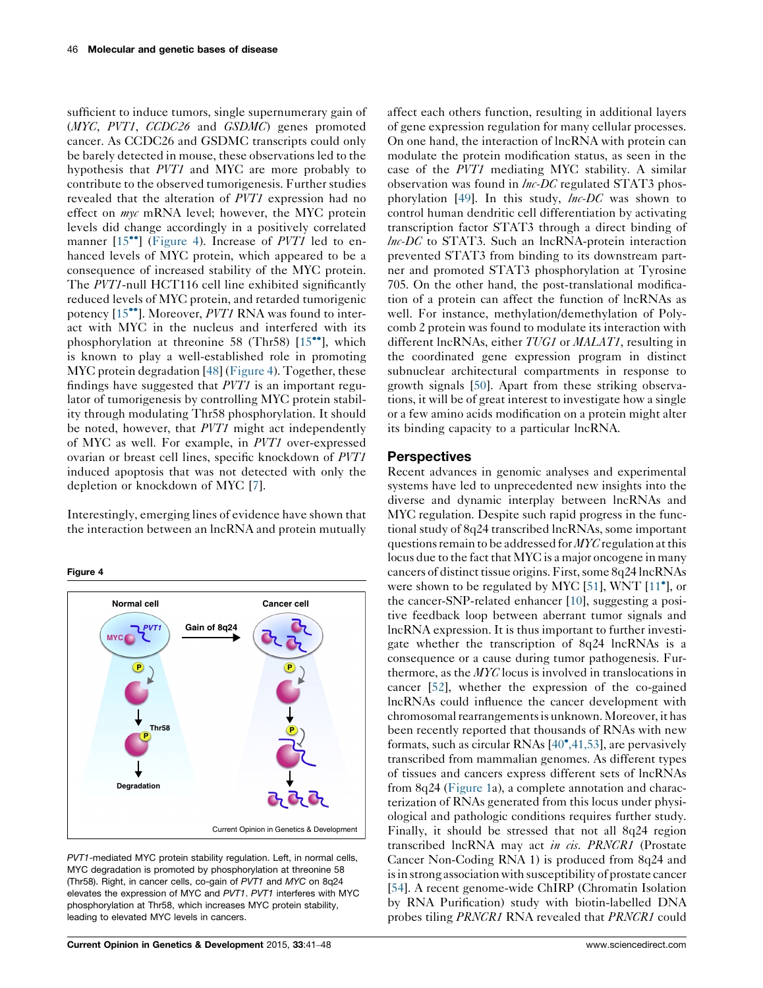sufficient to induce tumors, single supernumerary gain of (MYC, PVT1, CCDC26 and GSDMC) genes promoted cancer. As CCDC26 and GSDMC transcripts could only be barely detected in mouse, these observations led to the hypothesis that PVT1 and MYC are more probably to contribute to the observed tumorigenesis. Further studies revealed that the alteration of PVT1 expression had no effect on *myc* mRNA level; however, the MYC protein levels did change accordingly in a positively correlated manner  $[15\text{°}]$  $[15\text{°}]$  $[15\text{°}]$  (Figure 4). Increase of PVT1 led to enhanced levels of MYC protein, which appeared to be a consequence of increased stability of the MYC protein. The PVT1-null HCT116 cell line exhibited significantly reduced levels of MYC protein, and retarded tumorigenic potency [\[15](#page-6-0)<sup>••</sup>]. Moreover, *PVT1* RNA was found to interact with MYC in the nucleus and interfered with its phosphorylation at threonine 58 (Thr58) [[15](#page-6-0)<sup>\*</sup>], which is known to play a well-established role in promoting MYC protein degradation [[48\]](#page-7-0) (Figure 4). Together, these findings have suggested that PVT1 is an important regulator of tumorigenesis by controlling MYC protein stability through modulating Thr58 phosphorylation. It should be noted, however, that PVT1 might act independently of MYC as well. For example, in PVT1 over-expressed ovarian or breast cell lines, specific knockdown of PVT1 induced apoptosis that was not detected with only the depletion or knockdown of MYC [[7\]](#page-6-0).

Interestingly, emerging lines of evidence have shown that the interaction between an lncRNA and protein mutually

Figure 4



PVT1-mediated MYC protein stability regulation. Left, in normal cells, MYC degradation is promoted by phosphorylation at threonine 58 (Thr58). Right, in cancer cells, co-gain of PVT1 and MYC on 8q24 elevates the expression of MYC and PVT1. PVT1 interferes with MYC phosphorylation at Thr58, which increases MYC protein stability, leading to elevated MYC levels in cancers.

affect each others function, resulting in additional layers of gene expression regulation for many cellular processes. On one hand, the interaction of lncRNA with protein can modulate the protein modification status, as seen in the case of the PVT1 mediating MYC stability. A similar observation was found in  $\ln$ -DC regulated STAT3 phos-phorylation [\[49](#page-7-0)]. In this study,  $\ln C$  was shown to control human dendritic cell differentiation by activating transcription factor STAT3 through a direct binding of  $lnc$ -DC to STAT3. Such an  $lnc$ -Protein interaction prevented STAT3 from binding to its downstream partner and promoted STAT3 phosphorylation at Tyrosine 705. On the other hand, the post-translational modification of a protein can affect the function of lncRNAs as well. For instance, methylation/demethylation of Polycomb 2 protein was found to modulate its interaction with different lncRNAs, either TUG1 or MALAT1, resulting in the coordinated gene expression program in distinct subnuclear architectural compartments in response to growth signals [[50\]](#page-7-0). Apart from these striking observations, it will be of great interest to investigate how a single or a few amino acids modification on a protein might alter its binding capacity to a particular lncRNA.

#### **Perspectives**

Recent advances in genomic analyses and experimental systems have led to unprecedented new insights into the diverse and dynamic interplay between lncRNAs and MYC regulation. Despite such rapid progress in the functional study of 8q24 transcribed lncRNAs, some important questions remain to be addressed for MYC regulation at this locus due to the fact that MYC is a major oncogene in many cancers of distinct tissue origins. First, some 8q24 lncRNAs were shown to be regulated by MYC [\[51](#page-7-0)], WNT  $[11^{\circ}]$  $[11^{\circ}]$ , or the cancer-SNP-related enhancer [[10\]](#page-6-0), suggesting a positive feedback loop between aberrant tumor signals and lncRNA expression. It is thus important to further investigate whether the transcription of 8q24 lncRNAs is a consequence or a cause during tumor pathogenesis. Furthermore, as the MYC locus is involved in translocations in cancer [[52\]](#page-7-0), whether the expression of the co-gained lncRNAs could influence the cancer development with chromosomalrearrangementsis unknown.Moreover, it has been recently reported that thousands of RNAs with new formats, such as circular RNAs [\[40](#page-7-0)°[,41,53](#page-7-0)], are pervasively transcribed from mammalian genomes. As different types of tissues and cancers express different sets of lncRNAs from 8q24 ([Figure](#page-1-0) 1a), a complete annotation and characterization of RNAs generated from this locus under physiological and pathologic conditions requires further study. Finally, it should be stressed that not all 8q24 region transcribed lncRNA may act in cis. PRNCR1 (Prostate Cancer Non-Coding RNA 1) is produced from 8q24 and is in strong association with susceptibility of prostate cancer [\[54](#page-7-0)]. A recent genome-wide ChIRP (Chromatin Isolation by RNA Purification) study with biotin-labelled DNA probes tiling PRNCR1 RNA revealed that PRNCR1 could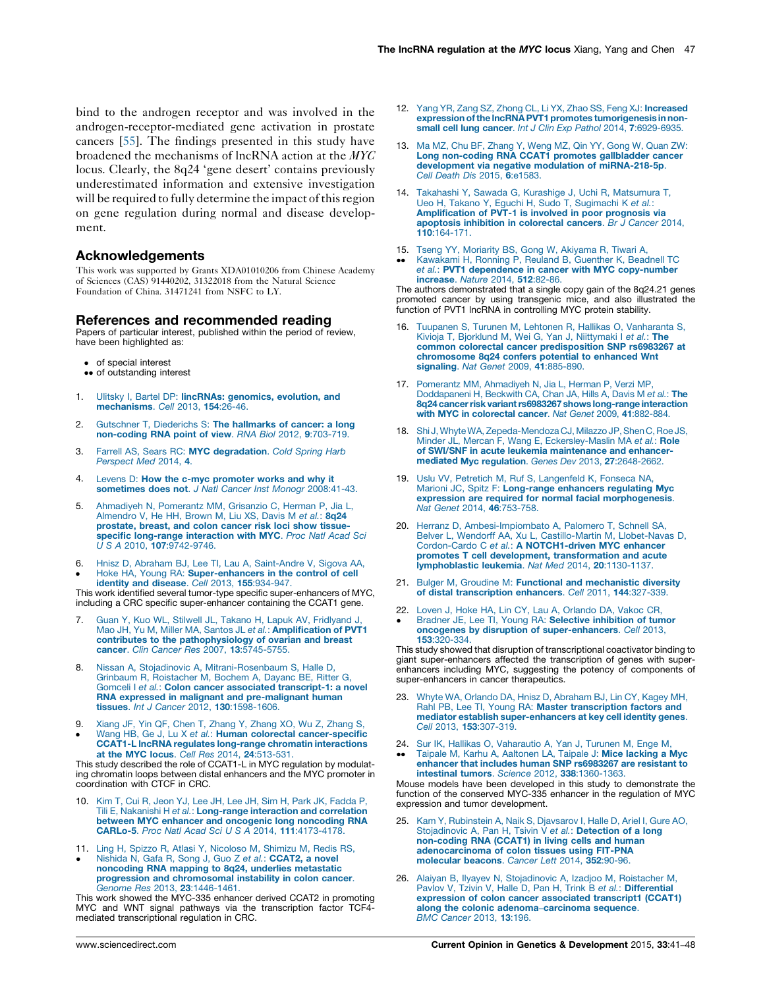<span id="page-6-0"></span>bind to the androgen receptor and was involved in the androgen-receptor-mediated gene activation in prostate cancers [[55\]](#page-7-0). The findings presented in this study have broadened the mechanisms of lncRNA action at the MYC locus. Clearly, the 8q24 'gene desert' contains previously underestimated information and extensive investigation will be required to fully determine the impact of this region on gene regulation during normal and disease development.

### Acknowledgements

This work was supported by Grants XDA01010206 from Chinese Academy of Sciences (CAS) 91440202, 31322018 from the Natural Science Foundation of China. 31471241 from NSFC to LY.

### References and recommended reading

Papers of particular interest, published within the period of review, have been highlighted as:

- of special interest
- •• of outstanding interest
- 1. Ulitsky I, Bartel DP: lincRNAs: [genomics,](http://refhub.elsevier.com/S0959-437X(15)00076-3/sbref0280) evolution, and [mechanisms](http://refhub.elsevier.com/S0959-437X(15)00076-3/sbref0280). Cell 2013, 154:26-46.
- 2. Gutschner T, [Diederichs](http://refhub.elsevier.com/S0959-437X(15)00076-3/sbref0285) S: The hallmarks of cancer: a long [non-coding](http://refhub.elsevier.com/S0959-437X(15)00076-3/sbref0285) RNA point of view. RNA Biol 2012, 9:703-719.
- 3. Farrell AS, Sears RC: MYC [degradation](http://refhub.elsevier.com/S0959-437X(15)00076-3/sbref0290). Cold Spring Harb [Perspect](http://refhub.elsevier.com/S0959-437X(15)00076-3/sbref0290) Med 2014, 4.
- 4. Levens D: How the c-myc [promoter](http://refhub.elsevier.com/S0959-437X(15)00076-3/sbref0295) works and why it sometimes does not. J Natl Cancer Inst Monogr [2008:41-43.](http://refhub.elsevier.com/S0959-437X(15)00076-3/sbref0295)
- 5. [Ahmadiyeh](http://refhub.elsevier.com/S0959-437X(15)00076-3/sbref0300) N, Pomerantz MM, Grisanzio C, Herman P, Jia L, [Almendro](http://refhub.elsevier.com/S0959-437X(15)00076-3/sbref0300) V, He HH, Brown M, Liu XS, Davis M et al.: 8q24 [prostate,](http://refhub.elsevier.com/S0959-437X(15)00076-3/sbref0300) breast, and colon cancer risk loci show tissuespecific [long-range](http://refhub.elsevier.com/S0959-437X(15)00076-3/sbref0300) interaction with MYC. Proc Natl Acad Sci U S A 2010, 107[:9742-9746.](http://refhub.elsevier.com/S0959-437X(15)00076-3/sbref0300)
- 6.  $\bullet$ Hnisz D, Abraham BJ, Lee TI, Lau A, [Saint-Andre](http://refhub.elsevier.com/S0959-437X(15)00076-3/sbref0305) V, Sigova AA, Hoke HA, Young RA: [Super-enhancers](http://refhub.elsevier.com/S0959-437X(15)00076-3/sbref0305) in the control of cell identity and disease. Cell 2013, 155[:934-947.](http://refhub.elsevier.com/S0959-437X(15)00076-3/sbref0305)

This work identified several tumor-type specific super-enhancers of MYC, including a CRC specific super-enhancer containing the CCAT1 gene.

- 7. Guan Y, Kuo WL, Stilwell JL, Takano H, Lapuk AV, [Fridlyand](http://refhub.elsevier.com/S0959-437X(15)00076-3/sbref0310) J, Mao JH, Yu M, Miller MA, Santos JL et al.: **[Amplification](http://refhub.elsevier.com/S0959-437X(15)00076-3/sbref0310) of PVT1** contributes to the [pathophysiology](http://refhub.elsevier.com/S0959-437X(15)00076-3/sbref0310) of ovarian and breast cancer. Clin Cancer Res 2007, 13[:5745-5755.](http://refhub.elsevier.com/S0959-437X(15)00076-3/sbref0310)
- 8. Nissan A, Stojadinovic A, [Mitrani-Rosenbaum](http://refhub.elsevier.com/S0959-437X(15)00076-3/sbref0315) S, Halle D, Grinbaum R, [Roistacher](http://refhub.elsevier.com/S0959-437X(15)00076-3/sbref0315) M, Bochem A, Dayanc BE, Ritter G, Gomceli I et al.: Colon cancer associated [transcript-1:](http://refhub.elsevier.com/S0959-437X(15)00076-3/sbref0315) a novel RNA expressed in malignant and [pre-malignant](http://refhub.elsevier.com/S0959-437X(15)00076-3/sbref0315) human tissues. Int J Cancer 2012, 130[:1598-1606.](http://refhub.elsevier.com/S0959-437X(15)00076-3/sbref0315)
- 9.  $\bullet$ Xiang JF, Yin QF, Chen T, [Zhang](http://refhub.elsevier.com/S0959-437X(15)00076-3/sbref0320) Y, Zhang XO, Wu Z, Zhang S, Wang HB, Ge J, Lu X et al.: Human colorectal [cancer-specific](http://refhub.elsevier.com/S0959-437X(15)00076-3/sbref0320) CCAT1-L lncRNA regulates long-range chromatin [interactions](http://refhub.elsevier.com/S0959-437X(15)00076-3/sbref0320) at the MYC locus. Cell Res 2014, 24[:513-531.](http://refhub.elsevier.com/S0959-437X(15)00076-3/sbref0320)

This study described the role of CCAT1-L in MYC regulation by modulating chromatin loops between distal enhancers and the MYC promoter in coordination with CTCF in CRC.

- 10. Kim T, Cui R, Jeon YJ, Lee JH, Lee JH, Sim H, Park JK, [Fadda](http://refhub.elsevier.com/S0959-437X(15)00076-3/sbref0325) P, Tili E, Nakanishi H et al.: [Long-range](http://refhub.elsevier.com/S0959-437X(15)00076-3/sbref0325) interaction and correlation between MYC enhancer and oncogenic long [noncoding](http://refhub.elsevier.com/S0959-437X(15)00076-3/sbref0325) RNA CARLo-5. Proc Natl Acad Sci U S A 2014, 111[:4173-4178.](http://refhub.elsevier.com/S0959-437X(15)00076-3/sbref0325)
- 11. Ling H, Spizzo R, Atlasi Y, [Nicoloso](http://refhub.elsevier.com/S0959-437X(15)00076-3/sbref0330) M, Shimizu M, Redis RS,
- $\bullet$ Nishida N, Gafa R, Song J, Guo Z et al.: [CCAT2,](http://refhub.elsevier.com/S0959-437X(15)00076-3/sbref0330) a novel [noncoding](http://refhub.elsevier.com/S0959-437X(15)00076-3/sbref0330) RNA mapping to 8q24, underlies metastatic progression and [chromosomal](http://refhub.elsevier.com/S0959-437X(15)00076-3/sbref0330) instability in colon cancer. Genome Res 2013, 23[:1446-1461.](http://refhub.elsevier.com/S0959-437X(15)00076-3/sbref0330)

This work showed the MYC-335 enhancer derived CCAT2 in promoting MYC and WNT signal pathways via the transcription factor TCF4 mediated transcriptional regulation in CRC.

- 12. Yang YR, Zang SZ, Zhong CL, Li YX, Zhao SS, Feng XJ: [Increased](http://refhub.elsevier.com/S0959-437X(15)00076-3/sbref0335) [expressionofthe](http://refhub.elsevier.com/S0959-437X(15)00076-3/sbref0335) lncRNAPVT1 promotes tumorigenesis in non-small cell lung cancer. Int J Clin Exp Pathol 2014, 7[:6929-6935.](http://refhub.elsevier.com/S0959-437X(15)00076-3/sbref0335)
- 13. Ma MZ, Chu BF, [Zhang](http://refhub.elsevier.com/S0959-437X(15)00076-3/sbref0340) Y, Weng MZ, Qin YY, Gong W, Quan ZW: Long [non-coding](http://refhub.elsevier.com/S0959-437X(15)00076-3/sbref0340) RNA CCAT1 promotes gallbladder cancer development via negative modulation of [miRNA-218-5p](http://refhub.elsevier.com/S0959-437X(15)00076-3/sbref0340). Cell Death Dis 2015, 6[:e1583.](http://refhub.elsevier.com/S0959-437X(15)00076-3/sbref0340)
- 14. Takahashi Y, Sawada G, Kurashige J, Uchi R, [Matsumura](http://refhub.elsevier.com/S0959-437X(15)00076-3/sbref0345) T, Ueo H, Takano Y, Eguchi H, Sudo T, [Sugimachi](http://refhub.elsevier.com/S0959-437X(15)00076-3/sbref0345) K et al.: [Amplification](http://refhub.elsevier.com/S0959-437X(15)00076-3/sbref0345) of PVT-1 is involved in poor prognosis via apoptosis inhibition in [colorectal](http://refhub.elsevier.com/S0959-437X(15)00076-3/sbref0345) cancers. Br J Cancer 2014, 110[:164-171.](http://refhub.elsevier.com/S0959-437X(15)00076-3/sbref0345)
- 15. Tseng YY, [Moriarity](http://refhub.elsevier.com/S0959-437X(15)00076-3/sbref0350) BS, Gong W, Akiyama R, Tiwari A,
- --[Kawakami](http://refhub.elsevier.com/S0959-437X(15)00076-3/sbref0350) H, Ronning P, Reuland B, Guenther K, Beadnell TC et al.: PVT1 dependence in cancer with MYC [copy-number](http://refhub.elsevier.com/S0959-437X(15)00076-3/sbref0350) [increase](http://refhub.elsevier.com/S0959-437X(15)00076-3/sbref0350). Nature 2014, 512:82-86.

The authors demonstrated that a single copy gain of the 8q24.21 genes promoted cancer by using transgenic mice, and also illustrated the function of PVT1 lncRNA in controlling MYC protein stability.

- 16. Tuupanen S, Turunen M, Lehtonen R, Hallikas O, [Vanharanta](http://refhub.elsevier.com/S0959-437X(15)00076-3/sbref0355) S, Kivioja T, Bjorklund M, Wei G, Yan J, [Niittymaki](http://refhub.elsevier.com/S0959-437X(15)00076-3/sbref0355) I et al.: The common colorectal cancer [predisposition](http://refhub.elsevier.com/S0959-437X(15)00076-3/sbref0355) SNP rs6983267 at [chromosome](http://refhub.elsevier.com/S0959-437X(15)00076-3/sbref0355) 8q24 confers potential to enhanced Wnt signaling. Nat Genet 2009, 41[:885-890.](http://refhub.elsevier.com/S0959-437X(15)00076-3/sbref0355)
- 17. Pomerantz MM, [Ahmadiyeh](http://refhub.elsevier.com/S0959-437X(15)00076-3/sbref0360) N, Jia L, Herman P, Verzi MP, [Doddapaneni](http://refhub.elsevier.com/S0959-437X(15)00076-3/sbref0360) H, Beckwith CA, Chan JA, Hills A, Davis M et al.: The 8q24 cancer risk variant rs6983267 shows long-range interaction with MYC in [colorectal](http://refhub.elsevier.com/S0959-437X(15)00076-3/sbref0360) cancer. Nat Genet 2009, 41:882-884.
- 18. Shi J, Whyte WA, Zepeda-Mendoza CJ, Milazzo JP, Shen C, Roe JS, Minder JL, Mercan F, Wang E, [Eckersley-Maslin](http://refhub.elsevier.com/S0959-437X(15)00076-3/sbref0365) MA et al.: Role of SWI/SNF in acute leukemia [maintenance](http://refhub.elsevier.com/S0959-437X(15)00076-3/sbref0365) and enhancermediated Myc regulation. Genes Dev 2013, 27[:2648-2662.](http://refhub.elsevier.com/S0959-437X(15)00076-3/sbref0365)
- 19. Uslu VV, Petretich M, Ruf S, [Langenfeld](http://refhub.elsevier.com/S0959-437X(15)00076-3/sbref0370) K, Fonseca NA, Marioni JC, Spitz F: [Long-range](http://refhub.elsevier.com/S0959-437X(15)00076-3/sbref0370) enhancers regulating Myc expression are required for normal facial [morphogenesis](http://refhub.elsevier.com/S0959-437X(15)00076-3/sbref0370). Nat Genet 2014, 46[:753-758.](http://refhub.elsevier.com/S0959-437X(15)00076-3/sbref0370)
- 20. Herranz D, [Ambesi-Impiombato](http://refhub.elsevier.com/S0959-437X(15)00076-3/sbref0375) A, Palomero T, Schnell SA, Belver L, Wendorff AA, Xu L, [Castillo-Martin](http://refhub.elsevier.com/S0959-437X(15)00076-3/sbref0375) M, Llobet-Navas D, Cordon-Cardo C et al.: A [NOTCH1-driven](http://refhub.elsevier.com/S0959-437X(15)00076-3/sbref0375) MYC enhancer promotes T cell development, [transformation](http://refhub.elsevier.com/S0959-437X(15)00076-3/sbref0375) and acute [lymphoblastic](http://refhub.elsevier.com/S0959-437X(15)00076-3/sbref0375) leukemia. Nat Med 2014, 20:1130-1137.
- 21. Bulger M, Groudine M: Functional and [mechanistic](http://refhub.elsevier.com/S0959-437X(15)00076-3/sbref0380) diversity of distal [transcription](http://refhub.elsevier.com/S0959-437X(15)00076-3/sbref0380) enhancers. Cell 2011, 144:327-339.
- 22. Loven J, Hoke HA, Lin CY, Lau A, [Orlando](http://refhub.elsevier.com/S0959-437X(15)00076-3/sbref0385) DA, Vakoc CR, Bradner JE, Lee TI, Young RA: Selective [inhibition](http://refhub.elsevier.com/S0959-437X(15)00076-3/sbref0385) of tumor oncogenes by disruption of [super-enhancers](http://refhub.elsevier.com/S0959-437X(15)00076-3/sbref0385). Cell 2013, 153[:320-334.](http://refhub.elsevier.com/S0959-437X(15)00076-3/sbref0385)

This study showed that disruption of transcriptional coactivator binding to giant super-enhancers affected the transcription of genes with super-enhancers including MYC, suggesting the potency of components of super-enhancers in cancer therapeutics.

- 23. Whyte WA, Orlando DA, Hnisz D, [Abraham](http://refhub.elsevier.com/S0959-437X(15)00076-3/sbref0390) BJ, Lin CY, Kagey MH, Rahl PB, Lee TI, Young RA: Master [transcription](http://refhub.elsevier.com/S0959-437X(15)00076-3/sbref0390) factors and mediator establish [super-enhancers](http://refhub.elsevier.com/S0959-437X(15)00076-3/sbref0390) at key cell identity genes. Cell 2013, 153[:307-319.](http://refhub.elsevier.com/S0959-437X(15)00076-3/sbref0390)
- 24. 24. Sur IK, Hallikas O, [Vaharautio](http://refhub.elsevier.com/S0959-437X(15)00076-3/sbref0395) A, Yan J, Turunen M, Enge M,<br>●● Taipale M, Karhu A, [Aaltonen](http://refhub.elsevier.com/S0959-437X(15)00076-3/sbref0395) LA, Taipale J: **Mice lacking a Myc** enhancer that includes human SNP [rs6983267](http://refhub.elsevier.com/S0959-437X(15)00076-3/sbref0395) are resistant to intestinal tumors. Science 2012, 338[:1360-1363.](http://refhub.elsevier.com/S0959-437X(15)00076-3/sbref0395)

Mouse models have been developed in this study to demonstrate the function of the conserved MYC-335 enhancer in the regulation of MYC expression and tumor development.

- 25. Kam Y, [Rubinstein](http://refhub.elsevier.com/S0959-437X(15)00076-3/sbref0400) A, Naik S, Djavsarov I, Halle D, Ariel I, Gure AO,<br>[Stojadinovic](http://refhub.elsevier.com/S0959-437X(15)00076-3/sbref0400) A, Pan H, Tsivin V *et al.*: **Detection of a long** [non-coding](http://refhub.elsevier.com/S0959-437X(15)00076-3/sbref0400) RNA (CCAT1) in living cells and human [adenocarcinoma](http://refhub.elsevier.com/S0959-437X(15)00076-3/sbref0400) of colon tissues using FIT-PNA [molecular](http://refhub.elsevier.com/S0959-437X(15)00076-3/sbref0400) beacons. Cancer Lett 2014, 352:90-96.
- 26. Alaiyan B, Ilyayev N, [Stojadinovic](http://refhub.elsevier.com/S0959-437X(15)00076-3/sbref0405) A, Izadjoo M, Roistacher M, Pavlov V, Tzivin V, Halle D, Pan H, Trink B et al.: [Differential](http://refhub.elsevier.com/S0959-437X(15)00076-3/sbref0405) expression of colon cancer [associated](http://refhub.elsevier.com/S0959-437X(15)00076-3/sbref0405) transcript1 (CCAT1) along the colonic adenoma–[carcinoma](http://refhub.elsevier.com/S0959-437X(15)00076-3/sbref0405) sequence. BMC [Cancer](http://refhub.elsevier.com/S0959-437X(15)00076-3/sbref0405) 2013, 13:196.